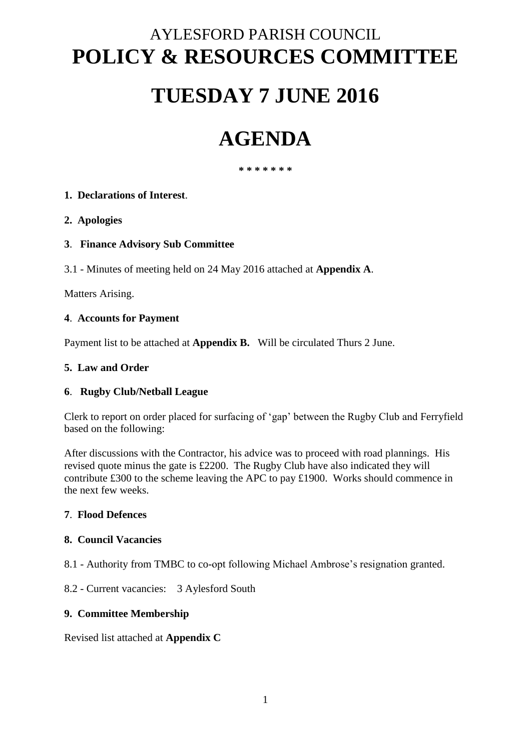# AYLESFORD PARISH COUNCIL **POLICY & RESOURCES COMMITTEE**

# **TUESDAY 7 JUNE 2016**

# **AGENDA**

**\* \* \* \* \* \* \***

# **1. Declarations of Interest**.

#### **2. Apologies**

#### **3**. **Finance Advisory Sub Committee**

3.1 - Minutes of meeting held on 24 May 2016 attached at **Appendix A**.

Matters Arising.

#### **4**. **Accounts for Payment**

Payment list to be attached at **Appendix B.** Will be circulated Thurs 2 June.

#### **5. Law and Order**

#### **6**. **Rugby Club/Netball League**

Clerk to report on order placed for surfacing of 'gap' between the Rugby Club and Ferryfield based on the following:

After discussions with the Contractor, his advice was to proceed with road plannings. His revised quote minus the gate is £2200. The Rugby Club have also indicated they will contribute £300 to the scheme leaving the APC to pay £1900. Works should commence in the next few weeks.

#### **7**. **Flood Defences**

#### **8. Council Vacancies**

8.1 - Authority from TMBC to co-opt following Michael Ambrose's resignation granted.

8.2 - Current vacancies: 3 Aylesford South

#### **9. Committee Membership**

Revised list attached at **Appendix C**